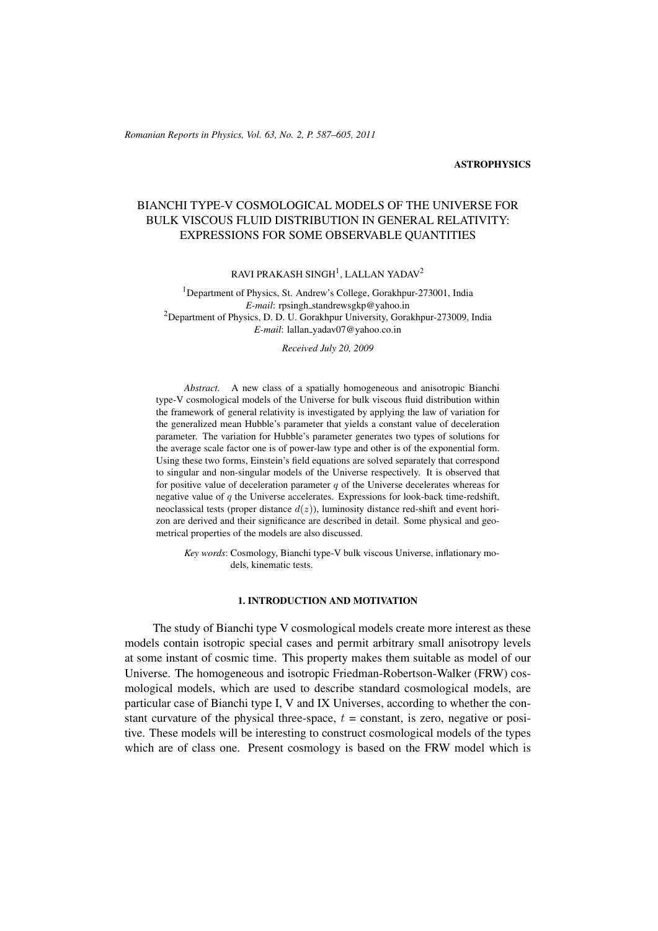### **ASTROPHYSICS**

# BIANCHI TYPE-V COSMOLOGICAL MODELS OF THE UNIVERSE FOR BULK VISCOUS FLUID DISTRIBUTION IN GENERAL RELATIVITY: EXPRESSIONS FOR SOME OBSERVABLE QUANTITIES

RAVI PRAKASH SINGH $^1$ , LALLAN YADAV $^2$ 

<sup>1</sup>Department of Physics, St. Andrew's College, Gorakhpur-273001, India *E-mail*: rpsingh\_standrewsgkp@yahoo.in <sup>2</sup>Department of Physics, D. D. U. Gorakhpur University, Gorakhpur-273009, India *E-mail*: lallan yadav07@yahoo.co.in

*Received July 20, 2009*

*Abstract.* A new class of a spatially homogeneous and anisotropic Bianchi type-V cosmological models of the Universe for bulk viscous fluid distribution within the framework of general relativity is investigated by applying the law of variation for the generalized mean Hubble's parameter that yields a constant value of deceleration parameter. The variation for Hubble's parameter generates two types of solutions for the average scale factor one is of power-law type and other is of the exponential form. Using these two forms, Einstein's field equations are solved separately that correspond to singular and non-singular models of the Universe respectively. It is observed that for positive value of deceleration parameter  $q$  of the Universe decelerates whereas for negative value of  $q$  the Universe accelerates. Expressions for look-back time-redshift, neoclassical tests (proper distance  $d(z)$ ), luminosity distance red-shift and event horizon are derived and their significance are described in detail. Some physical and geometrical properties of the models are also discussed.

*Key words*: Cosmology, Bianchi type-V bulk viscous Universe, inflationary models, kinematic tests.

# 1. INTRODUCTION AND MOTIVATION

The study of Bianchi type V cosmological models create more interest as these models contain isotropic special cases and permit arbitrary small anisotropy levels at some instant of cosmic time. This property makes them suitable as model of our Universe. The homogeneous and isotropic Friedman-Robertson-Walker (FRW) cosmological models, which are used to describe standard cosmological models, are particular case of Bianchi type I, V and IX Universes, according to whether the constant curvature of the physical three-space,  $t = constant$ , is zero, negative or positive. These models will be interesting to construct cosmological models of the types which are of class one. Present cosmology is based on the FRW model which is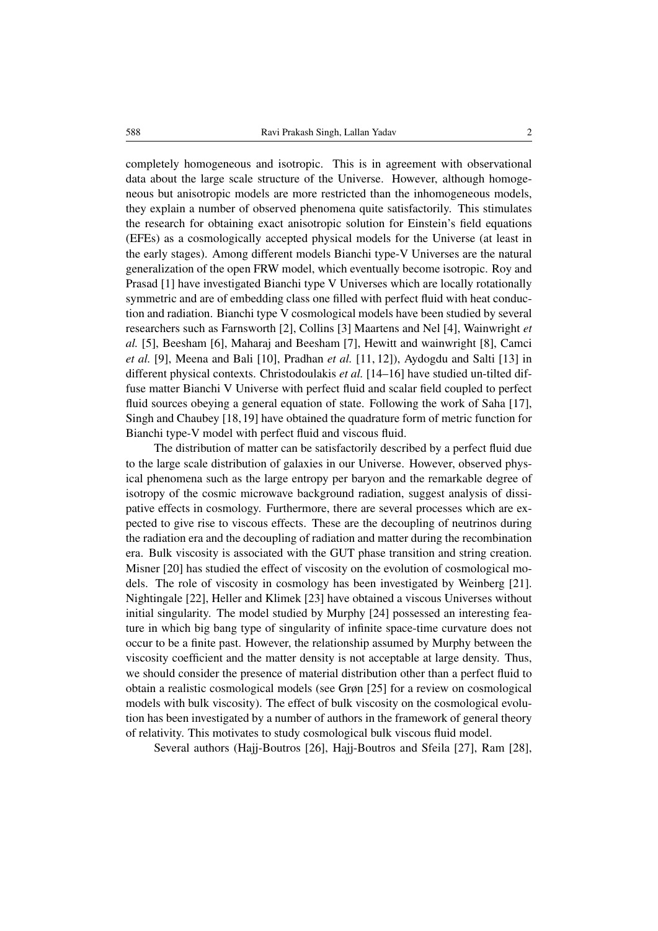completely homogeneous and isotropic. This is in agreement with observational data about the large scale structure of the Universe. However, although homogeneous but anisotropic models are more restricted than the inhomogeneous models, they explain a number of observed phenomena quite satisfactorily. This stimulates the research for obtaining exact anisotropic solution for Einstein's field equations (EFEs) as a cosmologically accepted physical models for the Universe (at least in the early stages). Among different models Bianchi type-V Universes are the natural generalization of the open FRW model, which eventually become isotropic. Roy and Prasad [1] have investigated Bianchi type V Universes which are locally rotationally symmetric and are of embedding class one filled with perfect fluid with heat conduction and radiation. Bianchi type V cosmological models have been studied by several researchers such as Farnsworth [2], Collins [3] Maartens and Nel [4], Wainwright *et al.* [5], Beesham [6], Maharaj and Beesham [7], Hewitt and wainwright [8], Camci *et al.* [9], Meena and Bali [10], Pradhan *et al.* [11, 12]), Aydogdu and Salti [13] in different physical contexts. Christodoulakis *et al.* [14–16] have studied un-tilted diffuse matter Bianchi V Universe with perfect fluid and scalar field coupled to perfect fluid sources obeying a general equation of state. Following the work of Saha [17], Singh and Chaubey [18,19] have obtained the quadrature form of metric function for Bianchi type-V model with perfect fluid and viscous fluid.

The distribution of matter can be satisfactorily described by a perfect fluid due to the large scale distribution of galaxies in our Universe. However, observed physical phenomena such as the large entropy per baryon and the remarkable degree of isotropy of the cosmic microwave background radiation, suggest analysis of dissipative effects in cosmology. Furthermore, there are several processes which are expected to give rise to viscous effects. These are the decoupling of neutrinos during the radiation era and the decoupling of radiation and matter during the recombination era. Bulk viscosity is associated with the GUT phase transition and string creation. Misner [20] has studied the effect of viscosity on the evolution of cosmological models. The role of viscosity in cosmology has been investigated by Weinberg [21]. Nightingale [22], Heller and Klimek [23] have obtained a viscous Universes without initial singularity. The model studied by Murphy [24] possessed an interesting feature in which big bang type of singularity of infinite space-time curvature does not occur to be a finite past. However, the relationship assumed by Murphy between the viscosity coefficient and the matter density is not acceptable at large density. Thus, we should consider the presence of material distribution other than a perfect fluid to obtain a realistic cosmological models (see Grøn [25] for a review on cosmological models with bulk viscosity). The effect of bulk viscosity on the cosmological evolution has been investigated by a number of authors in the framework of general theory of relativity. This motivates to study cosmological bulk viscous fluid model.

Several authors (Hajj-Boutros [26], Hajj-Boutros and Sfeila [27], Ram [28],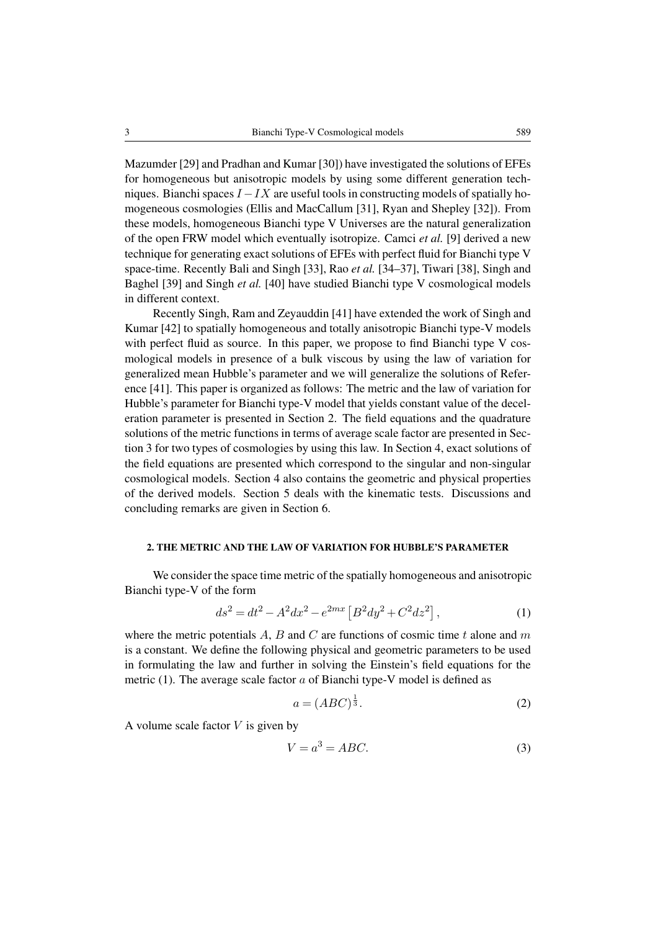Mazumder [29] and Pradhan and Kumar [30]) have investigated the solutions of EFEs for homogeneous but anisotropic models by using some different generation techniques. Bianchi spaces  $I - IX$  are useful tools in constructing models of spatially homogeneous cosmologies (Ellis and MacCallum [31], Ryan and Shepley [32]). From these models, homogeneous Bianchi type V Universes are the natural generalization of the open FRW model which eventually isotropize. Camci *et al.* [9] derived a new technique for generating exact solutions of EFEs with perfect fluid for Bianchi type V space-time. Recently Bali and Singh [33], Rao *et al.* [34–37], Tiwari [38], Singh and Baghel [39] and Singh *et al.* [40] have studied Bianchi type V cosmological models in different context.

Recently Singh, Ram and Zeyauddin [41] have extended the work of Singh and Kumar [42] to spatially homogeneous and totally anisotropic Bianchi type-V models with perfect fluid as source. In this paper, we propose to find Bianchi type V cosmological models in presence of a bulk viscous by using the law of variation for generalized mean Hubble's parameter and we will generalize the solutions of Reference [41]. This paper is organized as follows: The metric and the law of variation for Hubble's parameter for Bianchi type-V model that yields constant value of the deceleration parameter is presented in Section 2. The field equations and the quadrature solutions of the metric functions in terms of average scale factor are presented in Section 3 for two types of cosmologies by using this law. In Section 4, exact solutions of the field equations are presented which correspond to the singular and non-singular cosmological models. Section 4 also contains the geometric and physical properties of the derived models. Section 5 deals with the kinematic tests. Discussions and concluding remarks are given in Section 6.

### 2. THE METRIC AND THE LAW OF VARIATION FOR HUBBLE'S PARAMETER

We consider the space time metric of the spatially homogeneous and anisotropic Bianchi type-V of the form

$$
ds^{2} = dt^{2} - A^{2}dx^{2} - e^{2mx} [B^{2}dy^{2} + C^{2}dz^{2}],
$$
\n(1)

where the metric potentials  $A$ ,  $B$  and  $C$  are functions of cosmic time  $t$  alone and  $m$ is a constant. We define the following physical and geometric parameters to be used in formulating the law and further in solving the Einstein's field equations for the metric (1). The average scale factor  $a$  of Bianchi type-V model is defined as

$$
a = (ABC)^{\frac{1}{3}}.
$$

A volume scale factor  $V$  is given by

$$
V = a^3 = ABC.
$$
 (3)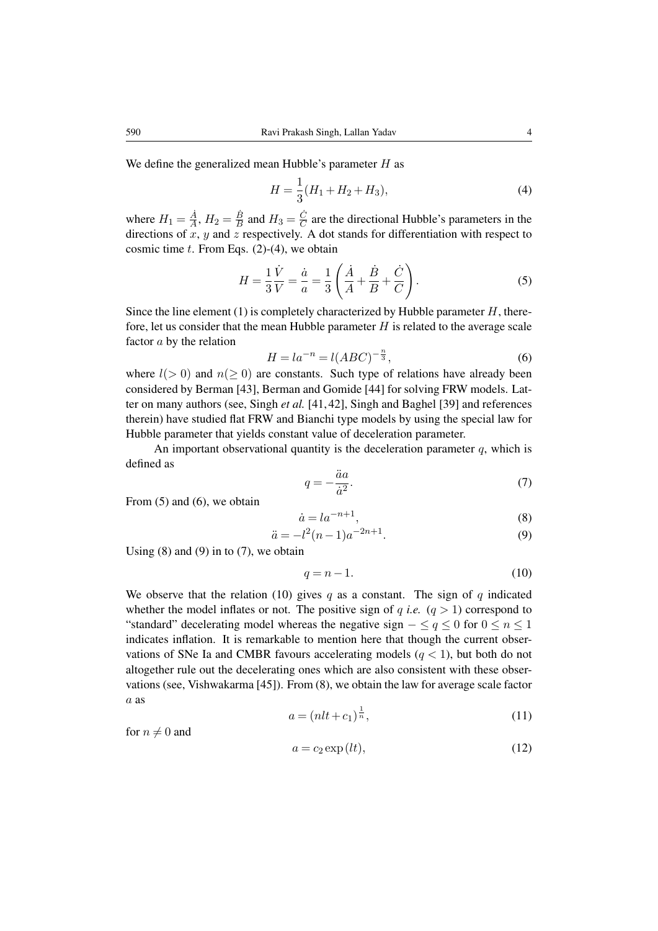We define the generalized mean Hubble's parameter  $H$  as

$$
H = \frac{1}{3}(H_1 + H_2 + H_3),\tag{4}
$$

where  $H_1 = \frac{\dot{A}}{A}$  $\frac{\dot{A}}{A}$ ,  $H_2 = \frac{\dot{B}}{B}$  $\frac{\dot{B}}{B}$  and  $H_3 = \frac{\dot{C}}{C}$  $\frac{C}{C}$  are the directional Hubble's parameters in the directions of  $x$ ,  $y$  and  $z$  respectively. A dot stands for differentiation with respect to cosmic time  $t$ . From Eqs. (2)-(4), we obtain

$$
H = \frac{1}{3} \frac{\dot{V}}{V} = \frac{\dot{a}}{a} = \frac{1}{3} \left( \frac{\dot{A}}{A} + \frac{\dot{B}}{B} + \frac{\dot{C}}{C} \right).
$$
 (5)

Since the line element (1) is completely characterized by Hubble parameter  $H$ , therefore, let us consider that the mean Hubble parameter  $H$  is related to the average scale factor  $a$  by the relation

$$
H = l a^{-n} = l(ABC)^{-\frac{n}{3}},\tag{6}
$$

where  $l(> 0)$  and  $n( \geq 0)$  are constants. Such type of relations have already been considered by Berman [43], Berman and Gomide [44] for solving FRW models. Latter on many authors (see, Singh *et al.* [41, 42], Singh and Baghel [39] and references therein) have studied flat FRW and Bianchi type models by using the special law for Hubble parameter that yields constant value of deceleration parameter.

An important observational quantity is the deceleration parameter  $q$ , which is defined as

$$
q = -\frac{\ddot{a}a}{\dot{a}^2}.\tag{7}
$$

From  $(5)$  and  $(6)$ , we obtain

$$
\dot{a} = l a^{-n+1},\tag{8}
$$

$$
\ddot{a} = -l^2(n-1)a^{-2n+1}.
$$
\n(9)

Using  $(8)$  and  $(9)$  in to  $(7)$ , we obtain

$$
q = n - 1.\tag{10}
$$

We observe that the relation (10) gives q as a constant. The sign of q indicated whether the model inflates or not. The positive sign of  $q$  *i.e.*  $(q > 1)$  correspond to "standard" decelerating model whereas the negative sign  $-\leq q \leq 0$  for  $0 \leq n \leq 1$ indicates inflation. It is remarkable to mention here that though the current observations of SNe Ia and CMBR favours accelerating models  $(q < 1)$ , but both do not altogether rule out the decelerating ones which are also consistent with these observations (see, Vishwakarma [45]). From (8), we obtain the law for average scale factor a as

$$
a = (nlt + c_1)^{\frac{1}{n}},\tag{11}
$$

for  $n \neq 0$  and

$$
a = c_2 \exp(l t),\tag{12}
$$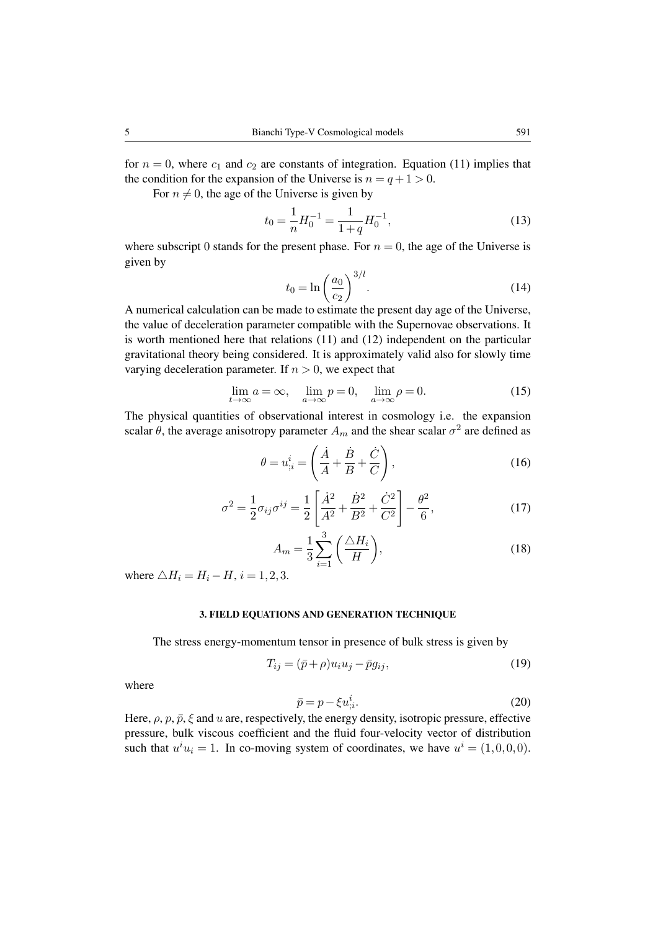for  $n = 0$ , where  $c_1$  and  $c_2$  are constants of integration. Equation (11) implies that the condition for the expansion of the Universe is  $n = q + 1 > 0$ .

For  $n \neq 0$ , the age of the Universe is given by

$$
t_0 = \frac{1}{n} H_0^{-1} = \frac{1}{1+q} H_0^{-1},\tag{13}
$$

where subscript 0 stands for the present phase. For  $n = 0$ , the age of the Universe is given by

$$
t_0 = \ln\left(\frac{a_0}{c_2}\right)^{3/l}.\tag{14}
$$

A numerical calculation can be made to estimate the present day age of the Universe, the value of deceleration parameter compatible with the Supernovae observations. It is worth mentioned here that relations (11) and (12) independent on the particular gravitational theory being considered. It is approximately valid also for slowly time varying deceleration parameter. If  $n > 0$ , we expect that

$$
\lim_{t \to \infty} a = \infty, \quad \lim_{a \to \infty} p = 0, \quad \lim_{a \to \infty} \rho = 0.
$$
 (15)

The physical quantities of observational interest in cosmology i.e. the expansion scalar  $\theta$ , the average anisotropy parameter  $A_m$  and the shear scalar  $\sigma^2$  are defined as

$$
\theta = u_{;i}^{i} = \left(\frac{\dot{A}}{A} + \frac{\dot{B}}{B} + \frac{\dot{C}}{C}\right),\tag{16}
$$

$$
\sigma^2 = \frac{1}{2}\sigma_{ij}\sigma^{ij} = \frac{1}{2}\left[\frac{\dot{A}^2}{A^2} + \frac{\dot{B}^2}{B^2} + \frac{\dot{C}^2}{C^2}\right] - \frac{\theta^2}{6},\tag{17}
$$

$$
A_m = \frac{1}{3} \sum_{i=1}^{3} \left( \frac{\triangle H_i}{H} \right),\tag{18}
$$

where  $\triangle H_i = H_i - H$ ,  $i = 1, 2, 3$ .

# 3. FIELD EQUATIONS AND GENERATION TECHNIQUE

The stress energy-momentum tensor in presence of bulk stress is given by

$$
T_{ij} = (\bar{p} + \rho)u_i u_j - \bar{p}g_{ij},\tag{19}
$$

where

$$
\bar{p} = p - \xi u_{\dot{\beta}}^i. \tag{20}
$$

Here,  $\rho$ ,  $p$ ,  $\bar{p}$ ,  $\xi$  and u are, respectively, the energy density, isotropic pressure, effective pressure, bulk viscous coefficient and the fluid four-velocity vector of distribution such that  $u^i u_i = 1$ . In co-moving system of coordinates, we have  $u^i = (1,0,0,0)$ .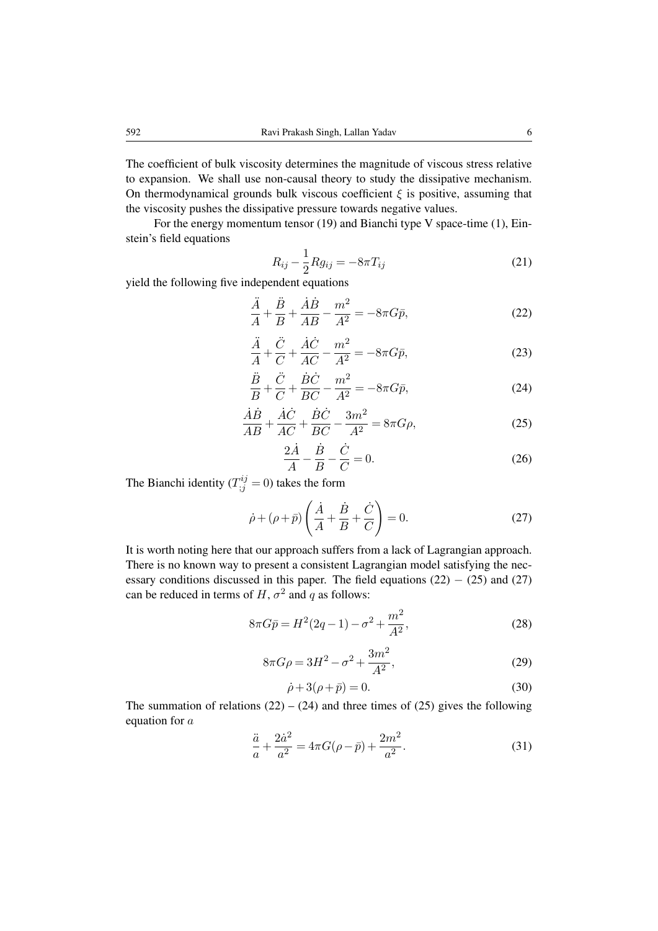The coefficient of bulk viscosity determines the magnitude of viscous stress relative to expansion. We shall use non-causal theory to study the dissipative mechanism. On thermodynamical grounds bulk viscous coefficient  $\xi$  is positive, assuming that the viscosity pushes the dissipative pressure towards negative values.

For the energy momentum tensor (19) and Bianchi type V space-time (1), Einstein's field equations

$$
R_{ij} - \frac{1}{2} R g_{ij} = -8\pi T_{ij}
$$
 (21)

yield the following five independent equations

$$
\frac{\ddot{A}}{A} + \frac{\ddot{B}}{B} + \frac{\dot{A}\dot{B}}{AB} - \frac{m^2}{A^2} = -8\pi G \bar{p},\tag{22}
$$

$$
\frac{\ddot{A}}{A} + \frac{\ddot{C}}{C} + \frac{\dot{A}\dot{C}}{AC} - \frac{m^2}{A^2} = -8\pi G\bar{p},\tag{23}
$$

$$
\frac{\ddot{B}}{B} + \frac{\ddot{C}}{C} + \frac{\dot{B}\dot{C}}{BC} - \frac{m^2}{A^2} = -8\pi G \bar{p},\tag{24}
$$

$$
\frac{\dot{A}\dot{B}}{AB} + \frac{\dot{A}\dot{C}}{AC} + \frac{\dot{B}\dot{C}}{BC} - \frac{3m^2}{A^2} = 8\pi G\rho,
$$
\n(25)

$$
\frac{2\dot{A}}{A} - \frac{\dot{B}}{B} - \frac{\dot{C}}{C} = 0.
$$
 (26)

The Bianchi identity ( $T_{;j}^{ij} = 0$ ) takes the form

$$
\dot{\rho} + (\rho + \bar{p}) \left( \frac{\dot{A}}{A} + \frac{\dot{B}}{B} + \frac{\dot{C}}{C} \right) = 0.
$$
 (27)

It is worth noting here that our approach suffers from a lack of Lagrangian approach. There is no known way to present a consistent Lagrangian model satisfying the necessary conditions discussed in this paper. The field equations  $(22) - (25)$  and  $(27)$ can be reduced in terms of H,  $\sigma^2$  and q as follows:

$$
8\pi G\bar{p} = H^2(2q - 1) - \sigma^2 + \frac{m^2}{A^2},\tag{28}
$$

$$
8\pi G\rho = 3H^2 - \sigma^2 + \frac{3m^2}{A^2},\tag{29}
$$

$$
\dot{\rho} + 3(\rho + \bar{p}) = 0. \tag{30}
$$

The summation of relations  $(22) - (24)$  and three times of  $(25)$  gives the following equation for a

$$
\frac{\ddot{a}}{a} + \frac{2\dot{a}^2}{a^2} = 4\pi G(\rho - \bar{p}) + \frac{2m^2}{a^2}.
$$
 (31)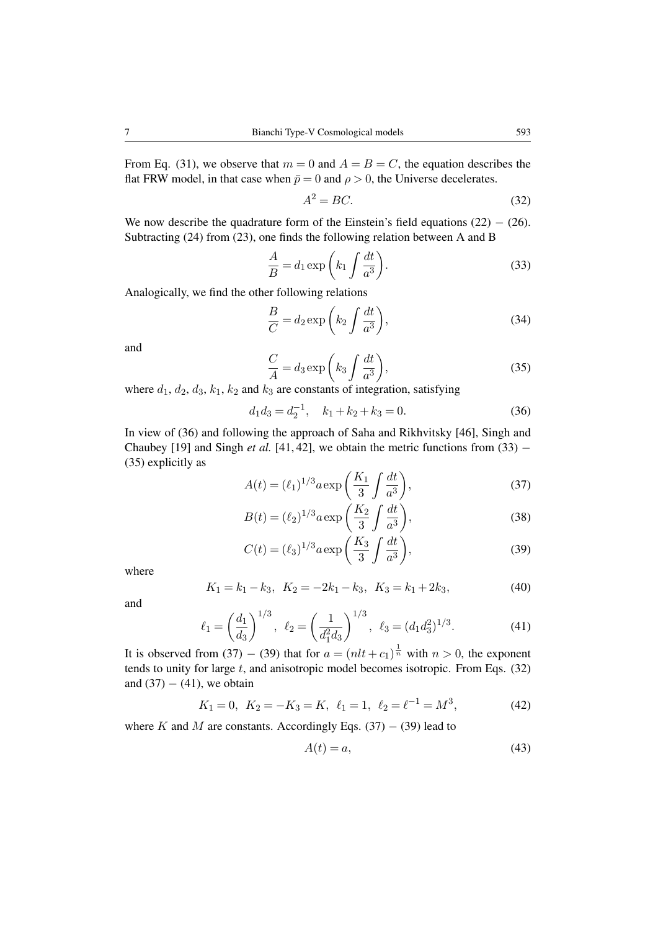From Eq. (31), we observe that  $m = 0$  and  $A = B = C$ , the equation describes the flat FRW model, in that case when  $\bar{p} = 0$  and  $\rho > 0$ , the Universe decelerates.

$$
A^2 = BC.\tag{32}
$$

We now describe the quadrature form of the Einstein's field equations  $(22) - (26)$ . Subtracting (24) from (23), one finds the following relation between A and B

$$
\frac{A}{B} = d_1 \exp\left(k_1 \int \frac{dt}{a^3}\right).
$$
\n(33)

Analogically, we find the other following relations

$$
\frac{B}{C} = d_2 \exp\left(k_2 \int \frac{dt}{a^3}\right),\tag{34}
$$

and

$$
\frac{C}{A} = d_3 \exp\left(k_3 \int \frac{dt}{a^3}\right),\tag{35}
$$

where  $d_1$ ,  $d_2$ ,  $d_3$ ,  $k_1$ ,  $k_2$  and  $k_3$  are constants of integration, satisfying

$$
d_1 d_3 = d_2^{-1}, \quad k_1 + k_2 + k_3 = 0. \tag{36}
$$

In view of (36) and following the approach of Saha and Rikhvitsky [46], Singh and Chaubey [19] and Singh *et al.* [41, 42], we obtain the metric functions from  $(33)$  – (35) explicitly as

$$
A(t) = (\ell_1)^{1/3} a \exp\left(\frac{K_1}{3} \int \frac{dt}{a^3}\right),
$$
 (37)

$$
B(t) = (\ell_2)^{1/3} a \exp\left(\frac{K_2}{3} \int \frac{dt}{a^3}\right),
$$
 (38)

$$
C(t) = (\ell_3)^{1/3} a \exp\left(\frac{K_3}{3} \int \frac{dt}{a^3}\right),
$$
 (39)

where

$$
K_1 = k_1 - k_3, \ K_2 = -2k_1 - k_3, \ K_3 = k_1 + 2k_3,
$$
\n<sup>(40)</sup>

and

$$
\ell_1 = \left(\frac{d_1}{d_3}\right)^{1/3}, \ \ell_2 = \left(\frac{1}{d_1^2 d_3}\right)^{1/3}, \ \ell_3 = (d_1 d_3^2)^{1/3}.\tag{41}
$$

It is observed from (37) – (39) that for  $a = (nlt + c_1)^{\frac{1}{n}}$  with  $n > 0$ , the exponent tends to unity for large  $t$ , and anisotropic model becomes isotropic. From Eqs.  $(32)$ and  $(37) - (41)$ , we obtain

$$
K_1 = 0
$$
,  $K_2 = -K_3 = K$ ,  $\ell_1 = 1$ ,  $\ell_2 = \ell^{-1} = M^3$ , (42)

where K and M are constants. Accordingly Eqs. (37) – (39) lead to

$$
A(t) = a,\t\t(43)
$$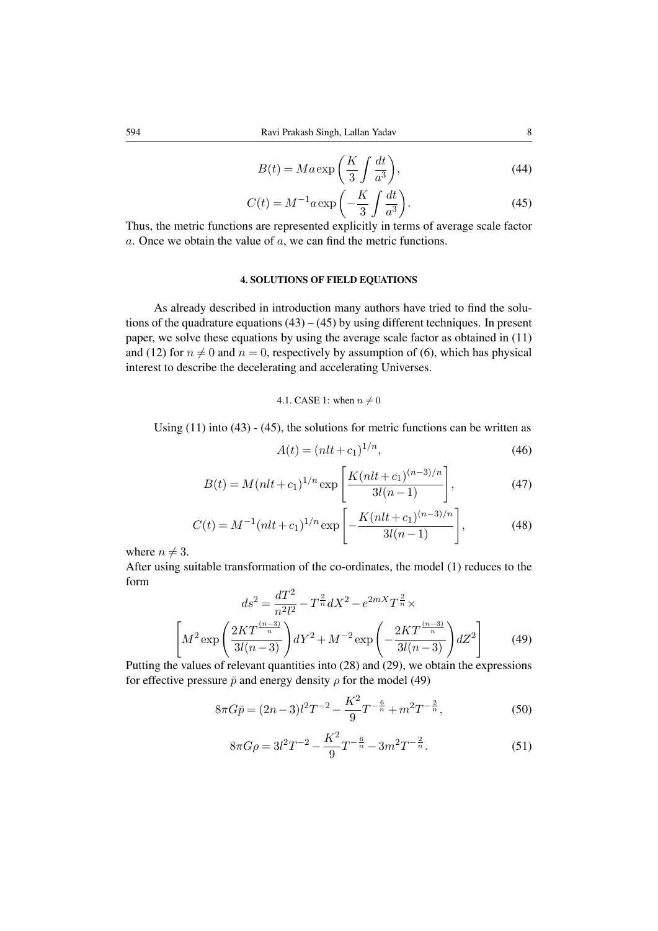$$
B(t) = Ma \exp\left(\frac{K}{3} \int \frac{dt}{a^3}\right),\tag{44}
$$

$$
C(t) = M^{-1} a \exp\left(-\frac{K}{3} \int \frac{dt}{a^3}\right).
$$
 (45)

Thus, the metric functions are represented explicitly in terms of average scale factor  $a$ . Once we obtain the value of  $a$ , we can find the metric functions.

# 4. SOLUTIONS OF FIELD EQUATIONS

As already described in introduction many authors have tried to find the solutions of the quadrature equations  $(43) - (45)$  by using different techniques. In present paper, we solve these equations by using the average scale factor as obtained in (11) and (12) for  $n \neq 0$  and  $n = 0$ , respectively by assumption of (6), which has physical interest to describe the decelerating and accelerating Universes.

### 4.1. CASE 1: when  $n \neq 0$

Using  $(11)$  into  $(43)$  -  $(45)$ , the solutions for metric functions can be written as

$$
A(t) = (nlt + c_1)^{1/n},\tag{46}
$$

$$
B(t) = M(nlt + c_1)^{1/n} \exp\left[\frac{K(nlt + c_1)^{(n-3)/n}}{3l(n-1)}\right],
$$
\n(47)

$$
C(t) = M^{-1}(nlt + c_1)^{1/n} \exp\left[-\frac{K(nlt + c_1)^{(n-3)/n}}{3l(n-1)}\right],
$$
 (48)

where  $n \neq 3$ .

After using suitable transformation of the co-ordinates, the model (1) reduces to the form

$$
ds^{2} = \frac{dT^{2}}{n^{2}l^{2}} - T^{\frac{2}{n}}dX^{2} - e^{2mX}T^{\frac{2}{n}} \times
$$

$$
\left[M^{2}\exp\left(\frac{2KT^{\frac{(n-3)}{n}}}{3l(n-3)}\right)dY^{2} + M^{-2}\exp\left(-\frac{2KT^{\frac{(n-3)}{n}}}{3l(n-3)}\right)dZ^{2}\right]
$$
(49)

Putting the values of relevant quantities into (28) and (29), we obtain the expressions for effective pressure  $\bar{p}$  and energy density  $\rho$  for the model (49)

$$
8\pi G\bar{p} = (2n-3)l^2T^{-2} - \frac{K^2}{9}T^{-\frac{6}{n}} + m^2T^{-\frac{2}{n}},
$$
\n(50)

$$
8\pi G\rho = 3l^2T^{-2} - \frac{K^2}{9}T^{-\frac{6}{n}} - 3m^2T^{-\frac{2}{n}}.
$$
\n(51)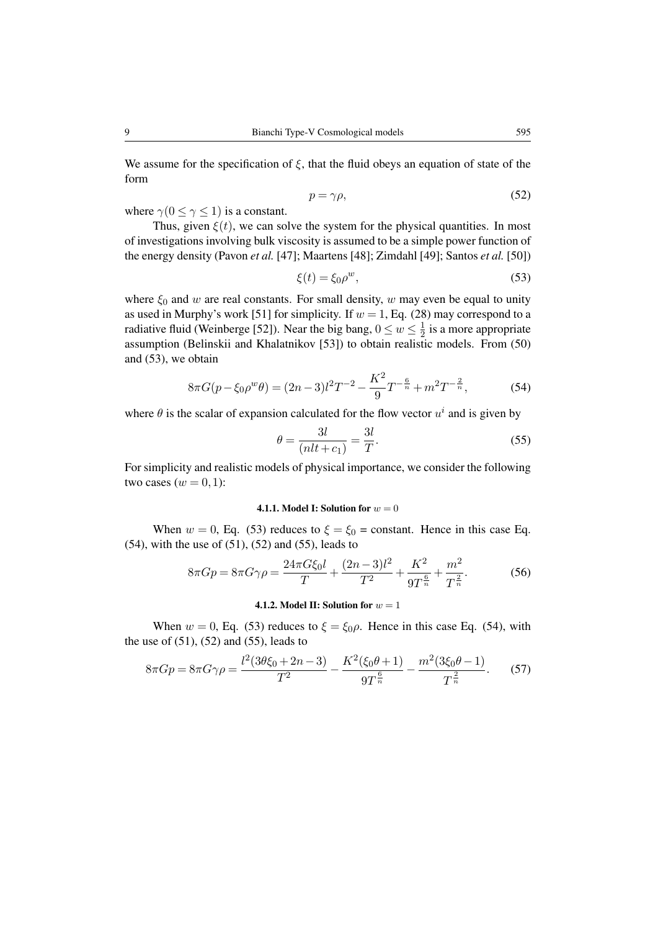We assume for the specification of  $\xi$ , that the fluid obeys an equation of state of the form

$$
p = \gamma \rho,\tag{52}
$$

where  $\gamma(0 \leq \gamma \leq 1)$  is a constant.

Thus, given  $\xi(t)$ , we can solve the system for the physical quantities. In most of investigations involving bulk viscosity is assumed to be a simple power function of the energy density (Pavon *et al.* [47]; Maartens [48]; Zimdahl [49]; Santos *et al.* [50])

$$
\xi(t) = \xi_0 \rho^w,\tag{53}
$$

where  $\xi_0$  and w are real constants. For small density, w may even be equal to unity as used in Murphy's work [51] for simplicity. If  $w = 1$ , Eq. (28) may correspond to a radiative fluid (Weinberge [52]). Near the big bang,  $0 \le w \le \frac{1}{2}$  $\frac{1}{2}$  is a more appropriate assumption (Belinskii and Khalatnikov [53]) to obtain realistic models. From (50) and (53), we obtain

$$
8\pi G(p - \xi_0 \rho^w \theta) = (2n - 3)l^2 T^{-2} - \frac{K^2}{9} T^{-\frac{6}{n}} + m^2 T^{-\frac{2}{n}},\tag{54}
$$

where  $\theta$  is the scalar of expansion calculated for the flow vector  $u^i$  and is given by

$$
\theta = \frac{3l}{(nlt + c_1)} = \frac{3l}{T}.
$$
\n(55)

For simplicity and realistic models of physical importance, we consider the following two cases  $(w = 0, 1)$ :

### 4.1.1. Model I: Solution for  $w = 0$

When  $w = 0$ , Eq. (53) reduces to  $\xi = \xi_0 = \text{constant}$ . Hence in this case Eq.  $(54)$ , with the use of  $(51)$ ,  $(52)$  and  $(55)$ , leads to

$$
8\pi G p = 8\pi G \gamma \rho = \frac{24\pi G \xi_0 l}{T} + \frac{(2n-3)l^2}{T^2} + \frac{K^2}{9T^{\frac{6}{n}}} + \frac{m^2}{T^{\frac{2}{n}}}.
$$
(56)

### 4.1.2. Model II: Solution for  $w = 1$

When  $w = 0$ , Eq. (53) reduces to  $\xi = \xi_0 \rho$ . Hence in this case Eq. (54), with the use of  $(51)$ ,  $(52)$  and  $(55)$ , leads to

$$
8\pi G p = 8\pi G \gamma \rho = \frac{l^2 (3\theta \xi_0 + 2n - 3)}{T^2} - \frac{K^2 (\xi_0 \theta + 1)}{9T^{\frac{6}{n}}} - \frac{m^2 (3\xi_0 \theta - 1)}{T^{\frac{2}{n}}}.
$$
 (57)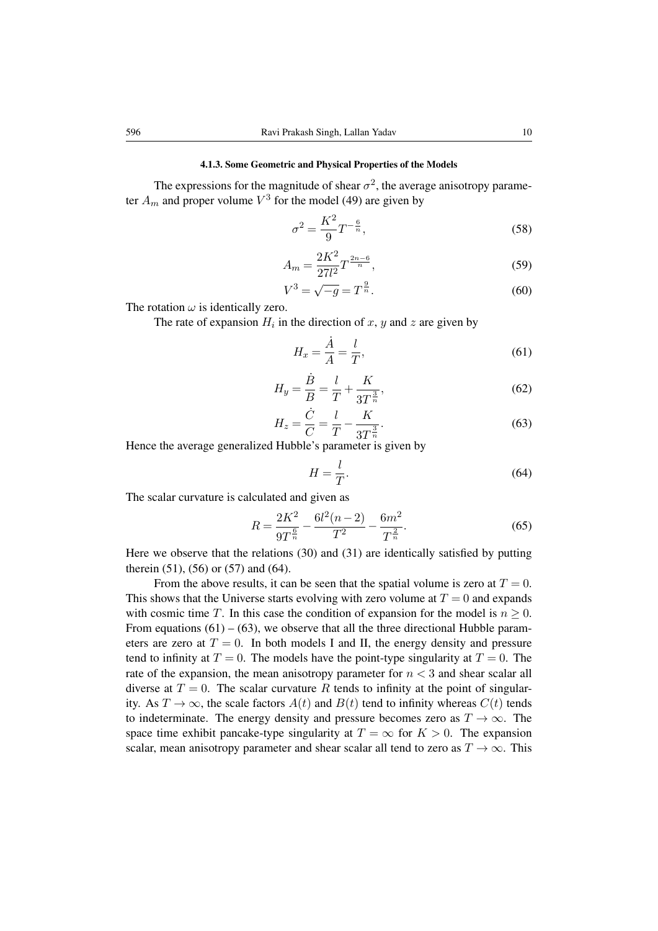#### 4.1.3. Some Geometric and Physical Properties of the Models

The expressions for the magnitude of shear  $\sigma^2$ , the average anisotropy parameter  $A_m$  and proper volume  $V^3$  for the model (49) are given by

$$
\sigma^2 = \frac{K^2}{9} T^{-\frac{6}{n}},\tag{58}
$$

$$
A_m = \frac{2K^2}{27l^2} T^{\frac{2n-6}{n}},\tag{59}
$$

$$
V^3 = \sqrt{-g} = T^{\frac{9}{n}}.
$$
 (60)

The rotation  $\omega$  is identically zero.

The rate of expansion  $H_i$  in the direction of x, y and z are given by

$$
H_x = \frac{\dot{A}}{A} = \frac{l}{T},\tag{61}
$$

$$
H_y = \frac{\dot{B}}{B} = \frac{l}{T} + \frac{K}{3T^{\frac{3}{n}}},
$$
\n(62)

$$
H_z = \frac{\dot{C}}{C} = \frac{l}{T} - \frac{K}{3T^{\frac{3}{n}}}.
$$
\n(63)

Hence the average generalized Hubble's parameter is given by

$$
H = \frac{l}{T}.\tag{64}
$$

The scalar curvature is calculated and given as

$$
R = \frac{2K^2}{9T^{\frac{6}{n}}} - \frac{6l^2(n-2)}{T^2} - \frac{6m^2}{T^{\frac{2}{n}}}.
$$
\n(65)

Here we observe that the relations (30) and (31) are identically satisfied by putting therein (51), (56) or (57) and (64).

From the above results, it can be seen that the spatial volume is zero at  $T = 0$ . This shows that the Universe starts evolving with zero volume at  $T = 0$  and expands with cosmic time T. In this case the condition of expansion for the model is  $n \geq 0$ . From equations  $(61) - (63)$ , we observe that all the three directional Hubble parameters are zero at  $T = 0$ . In both models I and II, the energy density and pressure tend to infinity at  $T = 0$ . The models have the point-type singularity at  $T = 0$ . The rate of the expansion, the mean anisotropy parameter for  $n < 3$  and shear scalar all diverse at  $T = 0$ . The scalar curvature R tends to infinity at the point of singularity. As  $T \to \infty$ , the scale factors  $A(t)$  and  $B(t)$  tend to infinity whereas  $C(t)$  tends to indeterminate. The energy density and pressure becomes zero as  $T \to \infty$ . The space time exhibit pancake-type singularity at  $T = \infty$  for  $K > 0$ . The expansion scalar, mean anisotropy parameter and shear scalar all tend to zero as  $T \to \infty$ . This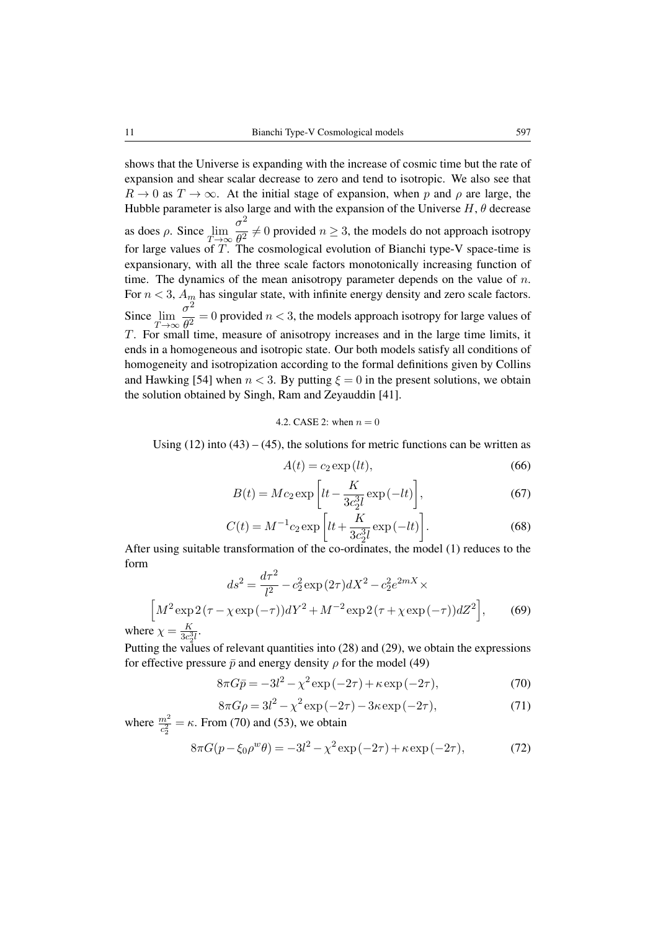shows that the Universe is expanding with the increase of cosmic time but the rate of expansion and shear scalar decrease to zero and tend to isotropic. We also see that  $R \to 0$  as  $T \to \infty$ . At the initial stage of expansion, when p and  $\rho$  are large, the Hubble parameter is also large and with the expansion of the Universe  $H$ ,  $\theta$  decrease as does  $\rho$ . Since  $\lim_{T\to\infty}$  $\sigma^2$  $\frac{\partial^2}{\partial t^2} \neq 0$  provided  $n \geq 3$ , the models do not approach isotropy for large values of  $T$ . The cosmological evolution of Bianchi type-V space-time is expansionary, with all the three scale factors monotonically increasing function of time. The dynamics of the mean anisotropy parameter depends on the value of  $n$ . For  $n < 3$ ,  $A_m$  has singular state, with infinite energy density and zero scale factors. Since  $\lim_{T\to\infty}$  $\sigma^2$  $\frac{\partial^2}{\partial t^2} = 0$  provided  $n < 3$ , the models approach isotropy for large values of T. For small time, measure of anisotropy increases and in the large time limits, it ends in a homogeneous and isotropic state. Our both models satisfy all conditions of homogeneity and isotropization according to the formal definitions given by Collins and Hawking [54] when  $n < 3$ . By putting  $\xi = 0$  in the present solutions, we obtain the solution obtained by Singh, Ram and Zeyauddin [41].

### 4.2. CASE 2: when  $n = 0$

Using  $(12)$  into  $(43) - (45)$ , the solutions for metric functions can be written as

$$
A(t) = c_2 \exp(lt),\tag{66}
$$

$$
B(t) = Mc_2 \exp\left[lt - \frac{K}{3c_2^3 l} \exp\left(-lt\right)\right],\tag{67}
$$

$$
C(t) = M^{-1} c_2 \exp\left[lt + \frac{K}{3c_2^3 l} \exp(-lt)\right].
$$
 (68)

After using suitable transformation of the co-ordinates, the model (1) reduces to the form

$$
ds^{2} = \frac{d\tau^{2}}{l^{2}} - c_{2}^{2} \exp(2\tau) dX^{2} - c_{2}^{2} e^{2mX} \times
$$

$$
\left[ M^{2} \exp(2(\tau - \chi \exp(-\tau)) dY^{2} + M^{-2} \exp(2(\tau + \chi \exp(-\tau)) dZ^{2} \right], \qquad (69)
$$

where  $\chi = \frac{K}{3c^3}$  $\frac{K}{3c_2^3l}$ .

Putting the values of relevant quantities into (28) and (29), we obtain the expressions for effective pressure  $\bar{p}$  and energy density  $\rho$  for the model (49)

$$
8\pi G\bar{p} = -3l^2 - \chi^2 \exp(-2\tau) + \kappa \exp(-2\tau),
$$
 (70)

$$
8\pi G\rho = 3l^2 - \chi^2 \exp(-2\tau) - 3\kappa \exp(-2\tau),
$$
\n(71)

where  $\frac{m^2}{c_2^2} = \kappa$ . From (70) and (53), we obtain  $8\pi G(p - \xi_0 \rho^w \theta) = -3l^2 - \chi^2 \exp(-2\tau) + \kappa \exp(-2\tau),$  (72)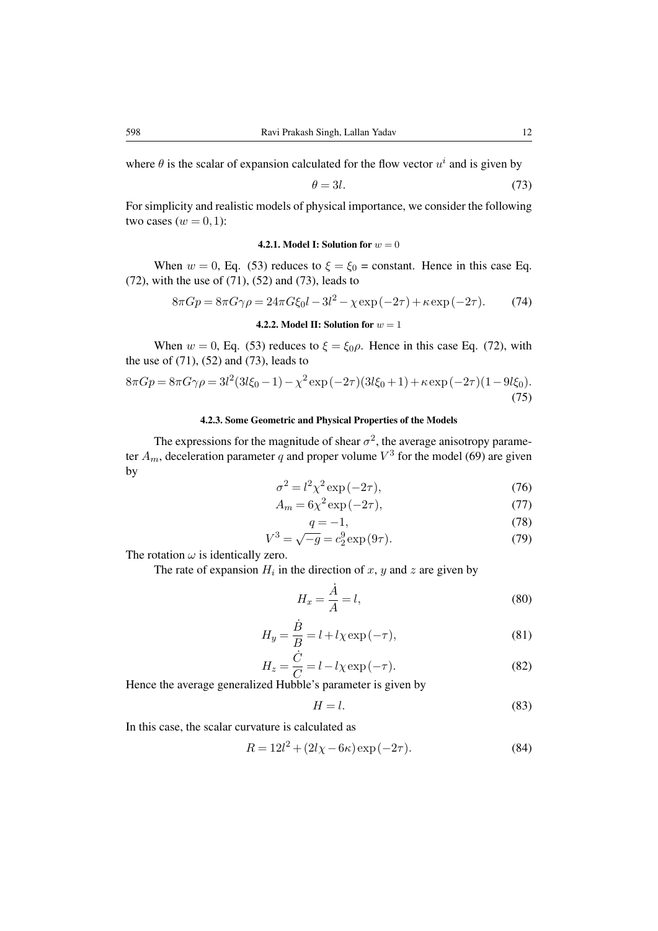where  $\theta$  is the scalar of expansion calculated for the flow vector  $u^i$  and is given by

$$
\theta = 3l. \tag{73}
$$

For simplicity and realistic models of physical importance, we consider the following two cases  $(w = 0, 1)$ :

### **4.2.1. Model I: Solution for**  $w = 0$

When  $w = 0$ , Eq. (53) reduces to  $\xi = \xi_0 = \text{constant}$ . Hence in this case Eq. (72), with the use of  $(71)$ ,  $(52)$  and  $(73)$ , leads to

$$
8\pi G p = 8\pi G \gamma \rho = 24\pi G \xi_0 l - 3l^2 - \chi \exp(-2\tau) + \kappa \exp(-2\tau). \tag{74}
$$

# 4.2.2. Model II: Solution for  $w = 1$

When  $w = 0$ , Eq. (53) reduces to  $\xi = \xi_0 \rho$ . Hence in this case Eq. (72), with the use of (71), (52) and (73), leads to

$$
8\pi G p = 8\pi G \gamma \rho = 3l^2 (3l\xi_0 - 1) - \chi^2 \exp(-2\tau)(3l\xi_0 + 1) + \kappa \exp(-2\tau)(1 - 9l\xi_0).
$$
\n(75)

# 4.2.3. Some Geometric and Physical Properties of the Models

The expressions for the magnitude of shear  $\sigma^2$ , the average anisotropy parameter  $A_m$ , deceleration parameter q and proper volume  $V^3$  for the model (69) are given by

$$
\sigma^2 = l^2 \chi^2 \exp(-2\tau),\tag{76}
$$

$$
A_m = 6\chi^2 \exp(-2\tau),\tag{77}
$$

$$
q = -1,
$$
\n(78)  
\n
$$
V^3 = \sqrt{-g} = c_2^9 \exp(9\tau).
$$
\n(79)

The rotation  $\omega$  is identically zero.

The rate of expansion  $H_i$  in the direction of x, y and z are given by

$$
H_x = \frac{\dot{A}}{A} = l,\t\t(80)
$$

$$
H_y = \frac{\dot{B}}{B} = l + l\chi \exp(-\tau),\tag{81}
$$

$$
H_z = \frac{C}{C} = l - l\chi \exp(-\tau). \tag{82}
$$

Hence the average generalized Hubble's parameter is given by

$$
H = l.\t\t(83)
$$

In this case, the scalar curvature is calculated as

$$
R = 12l^2 + (2l\chi - 6\kappa) \exp(-2\tau).
$$
 (84)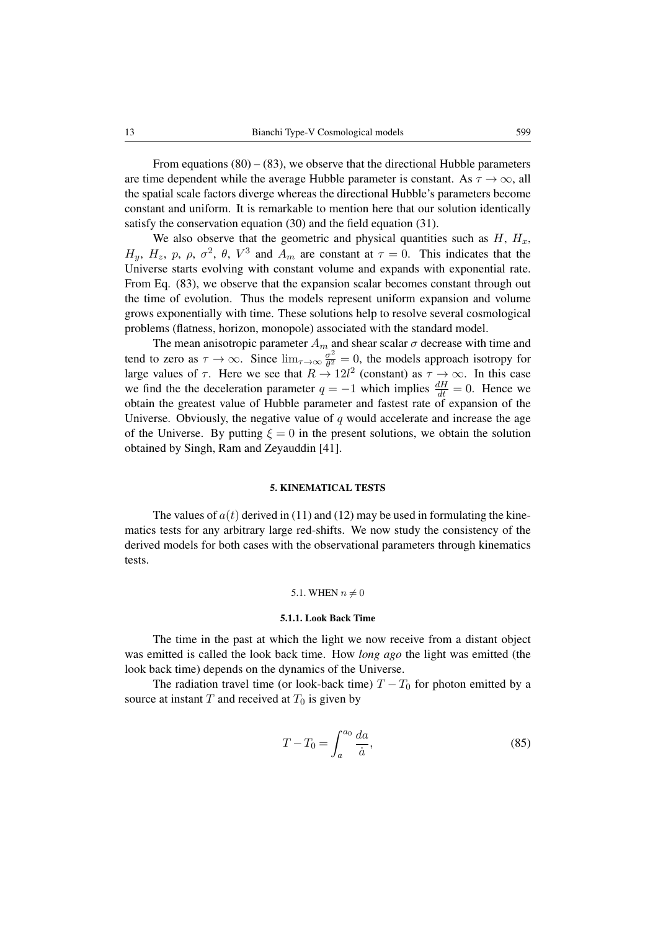From equations  $(80) - (83)$ , we observe that the directional Hubble parameters are time dependent while the average Hubble parameter is constant. As  $\tau \to \infty$ , all the spatial scale factors diverge whereas the directional Hubble's parameters become constant and uniform. It is remarkable to mention here that our solution identically satisfy the conservation equation (30) and the field equation (31).

We also observe that the geometric and physical quantities such as  $H$ ,  $H_x$ ,  $H_y$ ,  $H_z$ , p,  $\rho$ ,  $\sigma^2$ ,  $\theta$ ,  $V^3$  and  $A_m$  are constant at  $\tau = 0$ . This indicates that the Universe starts evolving with constant volume and expands with exponential rate. From Eq. (83), we observe that the expansion scalar becomes constant through out the time of evolution. Thus the models represent uniform expansion and volume grows exponentially with time. These solutions help to resolve several cosmological problems (flatness, horizon, monopole) associated with the standard model.

The mean anisotropic parameter  $A_m$  and shear scalar  $\sigma$  decrease with time and tend to zero as  $\tau \to \infty$ . Since  $\lim_{\tau \to \infty} \frac{\sigma^2}{\theta^2}$  $\frac{\sigma^2}{\theta^2} = 0$ , the models approach isotropy for large values of  $\tau$ . Here we see that  $R \to 12l^2$  (constant) as  $\tau \to \infty$ . In this case we find the the deceleration parameter  $q = -1$  which implies  $\frac{dH}{dt} = 0$ . Hence we obtain the greatest value of Hubble parameter and fastest rate of expansion of the Universe. Obviously, the negative value of  $q$  would accelerate and increase the age of the Universe. By putting  $\xi = 0$  in the present solutions, we obtain the solution obtained by Singh, Ram and Zeyauddin [41].

### 5. KINEMATICAL TESTS

The values of  $a(t)$  derived in (11) and (12) may be used in formulating the kinematics tests for any arbitrary large red-shifts. We now study the consistency of the derived models for both cases with the observational parameters through kinematics tests.

# 5.1. WHEN  $n \neq 0$

### 5.1.1. Look Back Time

The time in the past at which the light we now receive from a distant object was emitted is called the look back time. How *long ago* the light was emitted (the look back time) depends on the dynamics of the Universe.

The radiation travel time (or look-back time)  $T - T_0$  for photon emitted by a source at instant  $T$  and received at  $T_0$  is given by

$$
T - T_0 = \int_a^{a_0} \frac{da}{\dot{a}},\tag{85}
$$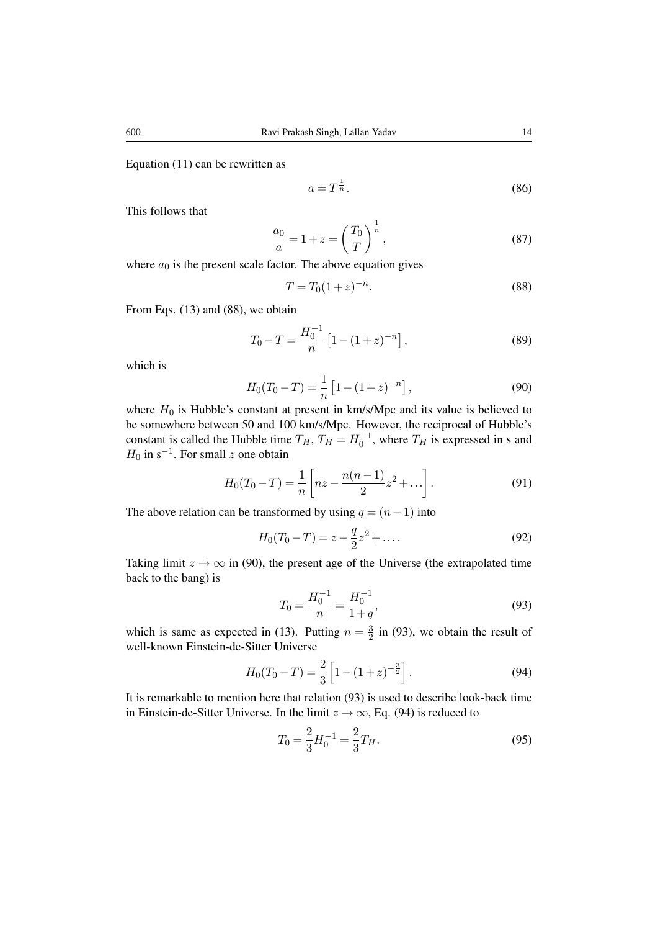Equation (11) can be rewritten as

$$
a = T^{\frac{1}{n}}.\tag{86}
$$

This follows that

$$
\frac{a_0}{a} = 1 + z = \left(\frac{T_0}{T}\right)^{\frac{1}{n}},\tag{87}
$$

where  $a_0$  is the present scale factor. The above equation gives

$$
T = T_0 (1 + z)^{-n}.
$$
\n(88)

From Eqs. (13) and (88), we obtain

$$
T_0 - T = \frac{H_0^{-1}}{n} \left[ 1 - (1+z)^{-n} \right],\tag{89}
$$

which is

$$
H_0(T_0 - T) = \frac{1}{n} \left[ 1 - (1 + z)^{-n} \right],\tag{90}
$$

where  $H_0$  is Hubble's constant at present in km/s/Mpc and its value is believed to be somewhere between 50 and 100 km/s/Mpc. However, the reciprocal of Hubble's constant is called the Hubble time  $T_H$ ,  $T_H = H_0^{-1}$ , where  $T_H$  is expressed in s and  $H_0$  in s<sup>-1</sup>. For small z one obtain

$$
H_0(T_0 - T) = \frac{1}{n} \left[ nz - \frac{n(n-1)}{2}z^2 + \dots \right].
$$
 (91)

The above relation can be transformed by using  $q = (n-1)$  into

$$
H_0(T_0 - T) = z - \frac{q}{2}z^2 + \dots
$$
 (92)

Taking limit  $z \to \infty$  in (90), the present age of the Universe (the extrapolated time back to the bang) is

$$
T_0 = \frac{H_0^{-1}}{n} = \frac{H_0^{-1}}{1+q},\tag{93}
$$

which is same as expected in (13). Putting  $n = \frac{3}{2}$  $\frac{3}{2}$  in (93), we obtain the result of well-known Einstein-de-Sitter Universe

$$
H_0(T_0 - T) = \frac{2}{3} \left[ 1 - (1 + z)^{-\frac{3}{2}} \right].
$$
 (94)

It is remarkable to mention here that relation (93) is used to describe look-back time in Einstein-de-Sitter Universe. In the limit  $z \to \infty$ , Eq. (94) is reduced to

$$
T_0 = \frac{2}{3} H_0^{-1} = \frac{2}{3} T_H.
$$
\n(95)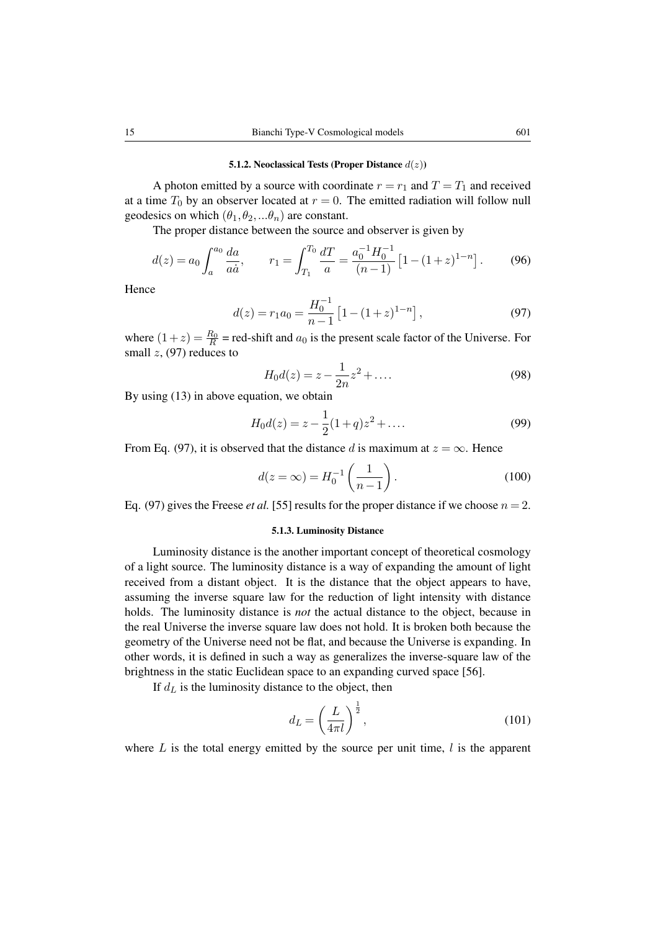#### 5.1.2. Neoclassical Tests (Proper Distance  $d(z)$ )

A photon emitted by a source with coordinate  $r = r_1$  and  $T = T_1$  and received at a time  $T_0$  by an observer located at  $r = 0$ . The emitted radiation will follow null geodesics on which  $(\theta_1, \theta_2, \dots, \theta_n)$  are constant.

The proper distance between the source and observer is given by

$$
d(z) = a_0 \int_a^{a_0} \frac{da}{a\dot{a}}, \qquad r_1 = \int_{T_1}^{T_0} \frac{dT}{a} = \frac{a_0^{-1}H_0^{-1}}{(n-1)} \left[1 - (1+z)^{1-n}\right].
$$
 (96)

Hence

$$
d(z) = r_1 a_0 = \frac{H_0^{-1}}{n-1} \left[ 1 - (1+z)^{1-n} \right],\tag{97}
$$

where  $(1+z) = \frac{R_0}{R}$  = red-shift and  $a_0$  is the present scale factor of the Universe. For small  $z$ , (97) reduces to

$$
H_0 d(z) = z - \frac{1}{2n} z^2 + \dots
$$
 (98)

By using  $(13)$  in above equation, we obtain

$$
H_0 d(z) = z - \frac{1}{2}(1+q)z^2 + \dots
$$
 (99)

From Eq. (97), it is observed that the distance d is maximum at  $z = \infty$ . Hence

$$
d(z = \infty) = H_0^{-1} \left( \frac{1}{n-1} \right).
$$
 (100)

Eq. (97) gives the Freese *et al.* [55] results for the proper distance if we choose  $n = 2$ .

#### 5.1.3. Luminosity Distance

Luminosity distance is the another important concept of theoretical cosmology of a light source. The luminosity distance is a way of expanding the amount of light received from a distant object. It is the distance that the object appears to have, assuming the inverse square law for the reduction of light intensity with distance holds. The luminosity distance is *not* the actual distance to the object, because in the real Universe the inverse square law does not hold. It is broken both because the geometry of the Universe need not be flat, and because the Universe is expanding. In other words, it is defined in such a way as generalizes the inverse-square law of the brightness in the static Euclidean space to an expanding curved space [56].

If  $d<sub>L</sub>$  is the luminosity distance to the object, then

$$
d_L = \left(\frac{L}{4\pi l}\right)^{\frac{1}{2}},\tag{101}
$$

where  $L$  is the total energy emitted by the source per unit time,  $l$  is the apparent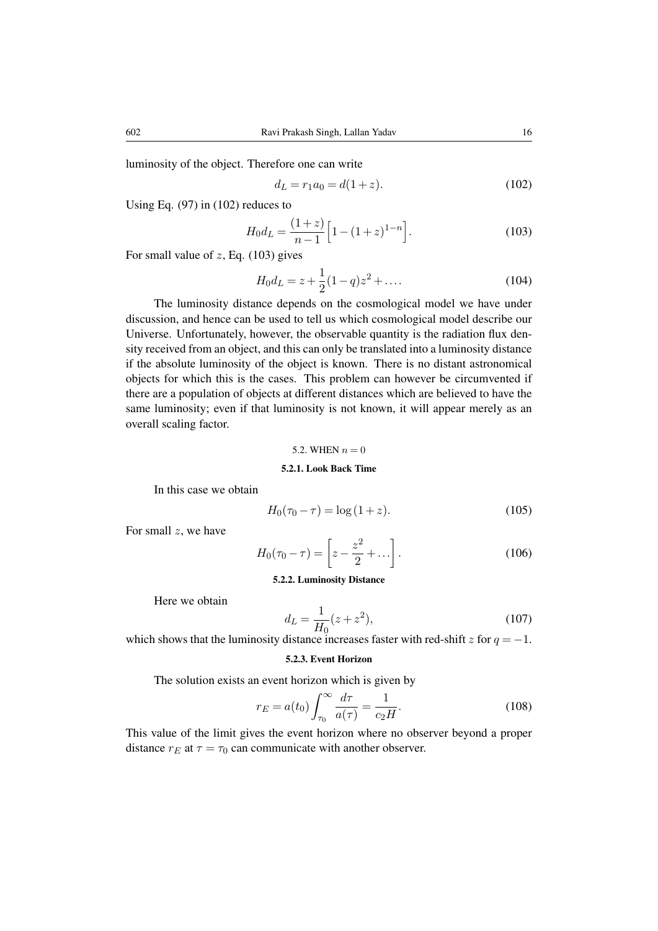luminosity of the object. Therefore one can write

$$
d_L = r_1 a_0 = d(1+z). \tag{102}
$$

Using Eq.  $(97)$  in  $(102)$  reduces to

$$
H_0 d_L = \frac{(1+z)}{n-1} \left[ 1 - (1+z)^{1-n} \right].
$$
 (103)

For small value of  $z$ , Eq. (103) gives

$$
H_0 d_L = z + \frac{1}{2}(1-q)z^2 + \dots
$$
 (104)

The luminosity distance depends on the cosmological model we have under discussion, and hence can be used to tell us which cosmological model describe our Universe. Unfortunately, however, the observable quantity is the radiation flux density received from an object, and this can only be translated into a luminosity distance if the absolute luminosity of the object is known. There is no distant astronomical objects for which this is the cases. This problem can however be circumvented if there are a population of objects at different distances which are believed to have the same luminosity; even if that luminosity is not known, it will appear merely as an overall scaling factor.

### 5.2. WHEN  $n = 0$

# 5.2.1. Look Back Time

In this case we obtain

$$
H_0(\tau_0 - \tau) = \log(1 + z). \tag{105}
$$

For small  $z$ , we have

$$
H_0(\tau_0 - \tau) = \left[ z - \frac{z^2}{2} + \dots \right].
$$
 (106)

### 5.2.2. Luminosity Distance

Here we obtain

$$
d_L = \frac{1}{H_0}(z + z^2),\tag{107}
$$

which shows that the luminosity distance increases faster with red-shift z for  $q = -1$ .

# 5.2.3. Event Horizon

The solution exists an event horizon which is given by

$$
r_E = a(t_0) \int_{\tau_0}^{\infty} \frac{d\tau}{a(\tau)} = \frac{1}{c_2 H}.
$$
\n(108)

This value of the limit gives the event horizon where no observer beyond a proper distance  $r_E$  at  $\tau = \tau_0$  can communicate with another observer.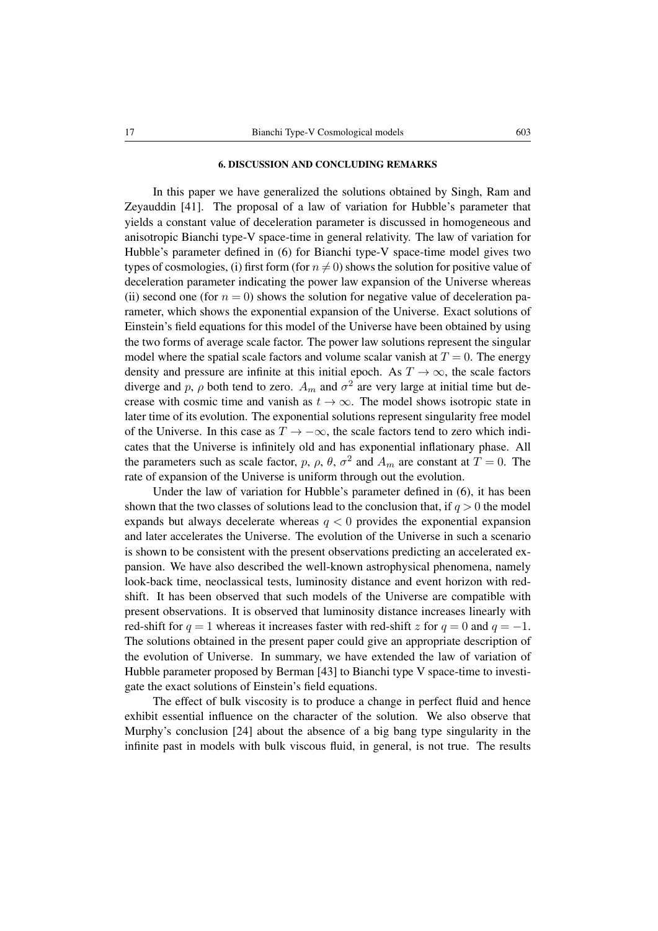### 6. DISCUSSION AND CONCLUDING REMARKS

In this paper we have generalized the solutions obtained by Singh, Ram and Zeyauddin [41]. The proposal of a law of variation for Hubble's parameter that yields a constant value of deceleration parameter is discussed in homogeneous and anisotropic Bianchi type-V space-time in general relativity. The law of variation for Hubble's parameter defined in (6) for Bianchi type-V space-time model gives two types of cosmologies, (i) first form (for  $n \neq 0$ ) shows the solution for positive value of deceleration parameter indicating the power law expansion of the Universe whereas (ii) second one (for  $n = 0$ ) shows the solution for negative value of deceleration parameter, which shows the exponential expansion of the Universe. Exact solutions of Einstein's field equations for this model of the Universe have been obtained by using the two forms of average scale factor. The power law solutions represent the singular model where the spatial scale factors and volume scalar vanish at  $T = 0$ . The energy density and pressure are infinite at this initial epoch. As  $T \to \infty$ , the scale factors diverge and p,  $\rho$  both tend to zero.  $A_m$  and  $\sigma^2$  are very large at initial time but decrease with cosmic time and vanish as  $t \to \infty$ . The model shows isotropic state in later time of its evolution. The exponential solutions represent singularity free model of the Universe. In this case as  $T \to -\infty$ , the scale factors tend to zero which indicates that the Universe is infinitely old and has exponential inflationary phase. All the parameters such as scale factor, p,  $\rho$ ,  $\theta$ ,  $\sigma^2$  and  $A_m$  are constant at  $T = 0$ . The rate of expansion of the Universe is uniform through out the evolution.

Under the law of variation for Hubble's parameter defined in (6), it has been shown that the two classes of solutions lead to the conclusion that, if  $q > 0$  the model expands but always decelerate whereas  $q \leq 0$  provides the exponential expansion and later accelerates the Universe. The evolution of the Universe in such a scenario is shown to be consistent with the present observations predicting an accelerated expansion. We have also described the well-known astrophysical phenomena, namely look-back time, neoclassical tests, luminosity distance and event horizon with redshift. It has been observed that such models of the Universe are compatible with present observations. It is observed that luminosity distance increases linearly with red-shift for  $q = 1$  whereas it increases faster with red-shift z for  $q = 0$  and  $q = -1$ . The solutions obtained in the present paper could give an appropriate description of the evolution of Universe. In summary, we have extended the law of variation of Hubble parameter proposed by Berman [43] to Bianchi type V space-time to investigate the exact solutions of Einstein's field equations.

The effect of bulk viscosity is to produce a change in perfect fluid and hence exhibit essential influence on the character of the solution. We also observe that Murphy's conclusion [24] about the absence of a big bang type singularity in the infinite past in models with bulk viscous fluid, in general, is not true. The results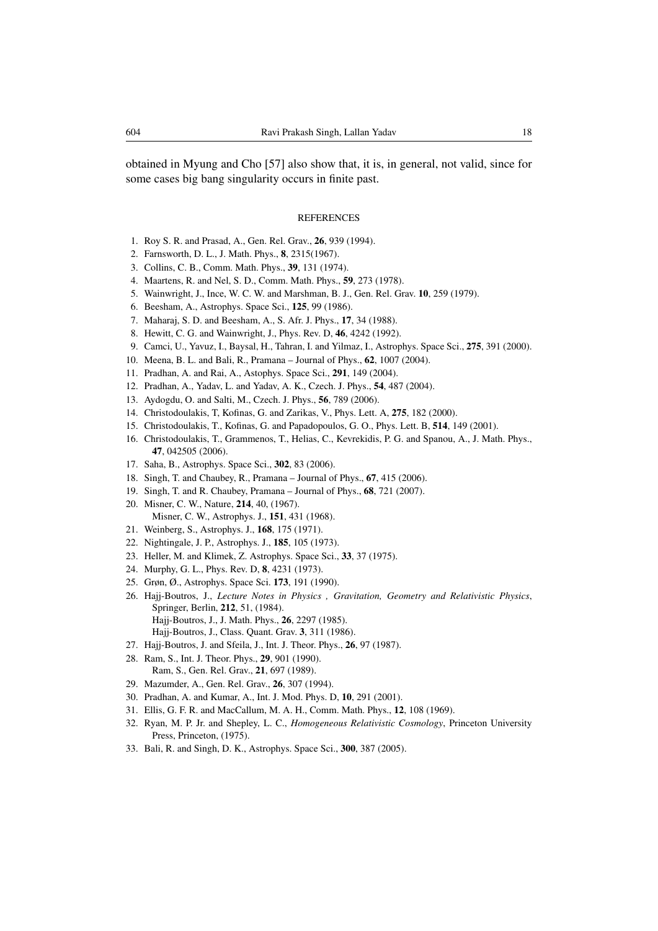obtained in Myung and Cho [57] also show that, it is, in general, not valid, since for some cases big bang singularity occurs in finite past.

### **REFERENCES**

- 1. Roy S. R. and Prasad, A., Gen. Rel. Grav., 26, 939 (1994).
- 2. Farnsworth, D. L., J. Math. Phys., 8, 2315(1967).
- 3. Collins, C. B., Comm. Math. Phys., 39, 131 (1974).
- 4. Maartens, R. and Nel, S. D., Comm. Math. Phys., 59, 273 (1978).
- 5. Wainwright, J., Ince, W. C. W. and Marshman, B. J., Gen. Rel. Grav. 10, 259 (1979).
- 6. Beesham, A., Astrophys. Space Sci., 125, 99 (1986).
- 7. Maharaj, S. D. and Beesham, A., S. Afr. J. Phys., 17, 34 (1988).
- 8. Hewitt, C. G. and Wainwright, J., Phys. Rev. D, 46, 4242 (1992).
- 9. Camci, U., Yavuz, I., Baysal, H., Tahran, I. and Yilmaz, I., Astrophys. Space Sci., 275, 391 (2000).
- 10. Meena, B. L. and Bali, R., Pramana Journal of Phys., 62, 1007 (2004).
- 11. Pradhan, A. and Rai, A., Astophys. Space Sci., 291, 149 (2004).
- 12. Pradhan, A., Yadav, L. and Yadav, A. K., Czech. J. Phys., 54, 487 (2004).
- 13. Aydogdu, O. and Salti, M., Czech. J. Phys., 56, 789 (2006).
- 14. Christodoulakis, T, Kofinas, G. and Zarikas, V., Phys. Lett. A, 275, 182 (2000).
- 15. Christodoulakis, T., Kofinas, G. and Papadopoulos, G. O., Phys. Lett. B, 514, 149 (2001).
- 16. Christodoulakis, T., Grammenos, T., Helias, C., Kevrekidis, P. G. and Spanou, A., J. Math. Phys., 47, 042505 (2006).
- 17. Saha, B., Astrophys. Space Sci., 302, 83 (2006).
- 18. Singh, T. and Chaubey, R., Pramana Journal of Phys., 67, 415 (2006).
- 19. Singh, T. and R. Chaubey, Pramana Journal of Phys., 68, 721 (2007).
- 20. Misner, C. W., Nature, 214, 40, (1967). Misner, C. W., Astrophys. J., 151, 431 (1968).
- 21. Weinberg, S., Astrophys. J., 168, 175 (1971).
- 22. Nightingale, J. P., Astrophys. J., 185, 105 (1973).
- 23. Heller, M. and Klimek, Z. Astrophys. Space Sci., 33, 37 (1975).
- 24. Murphy, G. L., Phys. Rev. D, 8, 4231 (1973).
- 25. Grøn, Ø., Astrophys. Space Sci. 173, 191 (1990).
- 26. Hajj-Boutros, J., *Lecture Notes in Physics , Gravitation, Geometry and Relativistic Physics*, Springer, Berlin, 212, 51, (1984). Hajj-Boutros, J., J. Math. Phys., 26, 2297 (1985).
	- Hajj-Boutros, J., Class. Quant. Grav. 3, 311 (1986).
- 27. Hajj-Boutros, J. and Sfeila, J., Int. J. Theor. Phys., 26, 97 (1987).
- 28. Ram, S., Int. J. Theor. Phys., 29, 901 (1990). Ram, S., Gen. Rel. Grav., 21, 697 (1989).
- 29. Mazumder, A., Gen. Rel. Grav., 26, 307 (1994).
- 30. Pradhan, A. and Kumar, A., Int. J. Mod. Phys. D, 10, 291 (2001).
- 31. Ellis, G. F. R. and MacCallum, M. A. H., Comm. Math. Phys., 12, 108 (1969).
- 32. Ryan, M. P. Jr. and Shepley, L. C., *Homogeneous Relativistic Cosmology*, Princeton University Press, Princeton, (1975).
- 33. Bali, R. and Singh, D. K., Astrophys. Space Sci., 300, 387 (2005).